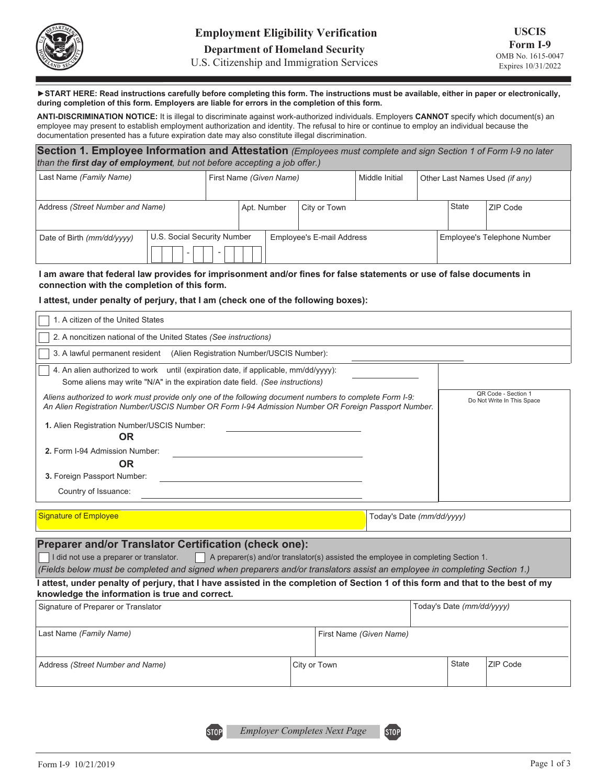

U.S. Citizenship and Immigration Services

►**START HERE: Read instructions carefully before completing this form. The instructions must be available, either in paper or electronically, during completion of this form. Employers are liable for errors in the completion of this form.**

 **ANTI-DISCRIMINATION NOTICE:** It is illegal to discriminate against work-authorized individuals. Employers **CANNOT** specify which document(s) an employee may present to establish employment authorization and identity. The refusal to hire or continue to employ an individual because the documentation presented has a future expiration date may also constitute illegal discrimination.

| Section 1. Employee Information and Attestation (Employees must complete and sign Section 1 of Form I-9 no later<br>than the first day of employment, but not before accepting a job offer.) |  |  |                                  |                         |  |                |                                |              |          |  |
|----------------------------------------------------------------------------------------------------------------------------------------------------------------------------------------------|--|--|----------------------------------|-------------------------|--|----------------|--------------------------------|--------------|----------|--|
| Last Name (Family Name)                                                                                                                                                                      |  |  |                                  | First Name (Given Name) |  | Middle Initial | Other Last Names Used (if any) |              |          |  |
| Address (Street Number and Name)                                                                                                                                                             |  |  | Apt. Number<br>City or Town      |                         |  |                |                                | <b>State</b> | ZIP Code |  |
| U.S. Social Security Number<br>Date of Birth (mm/dd/yyyy)<br>$\overline{\phantom{a}}$                                                                                                        |  |  | <b>Employee's E-mail Address</b> |                         |  |                | Employee's Telephone Number    |              |          |  |

#### **I am aware that federal law provides for imprisonment and/or fines for false statements or use of false documents in connection with the completion of this form.**

### **I attest, under penalty of perjury, that I am (check one of the following boxes):**

| 1. A citizen of the United States                                                                                                                                                                                                                                                                                              |                           |  |  |  |  |  |  |  |
|--------------------------------------------------------------------------------------------------------------------------------------------------------------------------------------------------------------------------------------------------------------------------------------------------------------------------------|---------------------------|--|--|--|--|--|--|--|
| 2. A noncitizen national of the United States (See instructions)                                                                                                                                                                                                                                                               |                           |  |  |  |  |  |  |  |
| 3. A lawful permanent resident (Alien Registration Number/USCIS Number):                                                                                                                                                                                                                                                       |                           |  |  |  |  |  |  |  |
| 4. An alien authorized to work until (expiration date, if applicable, mm/dd/yyyy):<br>Some aliens may write "N/A" in the expiration date field. (See instructions)                                                                                                                                                             |                           |  |  |  |  |  |  |  |
| QR Code - Section 1<br>Aliens authorized to work must provide only one of the following document numbers to complete Form I-9:<br>Do Not Write In This Space<br>An Alien Registration Number/USCIS Number OR Form I-94 Admission Number OR Foreign Passport Number.<br>1. Alien Registration Number/USCIS Number:<br><b>OR</b> |                           |  |  |  |  |  |  |  |
| 2. Form I-94 Admission Number:<br><b>OR</b><br>3. Foreign Passport Number:                                                                                                                                                                                                                                                     |                           |  |  |  |  |  |  |  |
| Country of Issuance:                                                                                                                                                                                                                                                                                                           |                           |  |  |  |  |  |  |  |
| <b>Signature of Employee</b>                                                                                                                                                                                                                                                                                                   | Today's Date (mm/dd/yyyy) |  |  |  |  |  |  |  |
| <b>Preparer and/or Translator Certification (check one):</b><br>I did not use a preparer or translator. $\vert$ A preparer(s) and/or translator(s) assisted the employee in completing Section 1.<br>(Fields below must be completed and signed when preparers and/or translators assist an employee in completing Section 1.) |                           |  |  |  |  |  |  |  |

### **I attest, under penalty of perjury, that I have assisted in the completion of Section 1 of this form and that to the best of my knowledge the information is true and correct.**

| Signature of Preparer or Translator |                         | Today's Date (mm/dd/yyyy) |                 |
|-------------------------------------|-------------------------|---------------------------|-----------------|
| Last Name (Family Name)             | First Name (Given Name) |                           |                 |
| Address (Street Number and Name)    | City or Town            | State                     | <b>ZIP Code</b> |

**STOP** 

**STOP**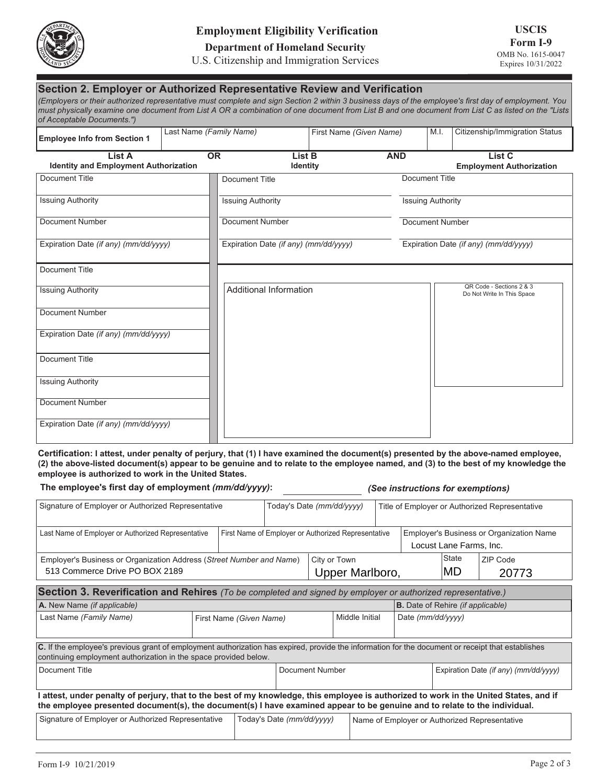

## **Employment Eligibility Verification**

**Department of Homeland Security** 

### U.S. Citizenship and Immigration Services

| Section 2. Employer or Authorized Representative Review and Verification<br>(Employers or their authorized representative must complete and sign Section 2 within 3 business days of the employee's first day of employment. You<br>must physically examine one document from List A OR a combination of one document from List B and one document from List C as listed on the "Lists<br>of Acceptable Documents.") |                         |                                       |                         |                          |      |                                                        |
|----------------------------------------------------------------------------------------------------------------------------------------------------------------------------------------------------------------------------------------------------------------------------------------------------------------------------------------------------------------------------------------------------------------------|-------------------------|---------------------------------------|-------------------------|--------------------------|------|--------------------------------------------------------|
| <b>Employee Info from Section 1</b>                                                                                                                                                                                                                                                                                                                                                                                  | Last Name (Family Name) |                                       | First Name (Given Name) |                          | M.I. | Citizenship/Immigration Status                         |
| List A<br><b>Identity and Employment Authorization</b>                                                                                                                                                                                                                                                                                                                                                               | <b>OR</b>               | List B<br><b>Identity</b>             |                         | <b>AND</b>               |      | List C<br><b>Employment Authorization</b>              |
| <b>Document Title</b>                                                                                                                                                                                                                                                                                                                                                                                                |                         | Document Title                        |                         | Document Title           |      |                                                        |
| <b>Issuing Authority</b>                                                                                                                                                                                                                                                                                                                                                                                             |                         | <b>Issuing Authority</b>              |                         | <b>Issuing Authority</b> |      |                                                        |
| Document Number                                                                                                                                                                                                                                                                                                                                                                                                      |                         | Document Number                       |                         | <b>Document Number</b>   |      |                                                        |
| Expiration Date (if any) (mm/dd/yyyy)                                                                                                                                                                                                                                                                                                                                                                                |                         | Expiration Date (if any) (mm/dd/yyyy) |                         |                          |      | Expiration Date (if any) (mm/dd/yyyy)                  |
| <b>Document Title</b>                                                                                                                                                                                                                                                                                                                                                                                                |                         |                                       |                         |                          |      |                                                        |
| <b>Issuing Authority</b>                                                                                                                                                                                                                                                                                                                                                                                             |                         | <b>Additional Information</b>         |                         |                          |      | QR Code - Sections 2 & 3<br>Do Not Write In This Space |
| <b>Document Number</b>                                                                                                                                                                                                                                                                                                                                                                                               |                         |                                       |                         |                          |      |                                                        |
| Expiration Date (if any) (mm/dd/yyyy)                                                                                                                                                                                                                                                                                                                                                                                |                         |                                       |                         |                          |      |                                                        |
| Document Title                                                                                                                                                                                                                                                                                                                                                                                                       |                         |                                       |                         |                          |      |                                                        |
| <b>Issuing Authority</b>                                                                                                                                                                                                                                                                                                                                                                                             |                         |                                       |                         |                          |      |                                                        |
| <b>Document Number</b>                                                                                                                                                                                                                                                                                                                                                                                               |                         |                                       |                         |                          |      |                                                        |
| Expiration Date (if any) (mm/dd/yyyy)                                                                                                                                                                                                                                                                                                                                                                                |                         |                                       |                         |                          |      |                                                        |

**Certification: I attest, under penalty of perjury, that (1) I have examined the document(s) presented by the above-named employee, (2) the above-listed document(s) appear to be genuine and to relate to the employee named, and (3) to the best of my knowledge the employee is authorized to work in the United States.**

**The employee's first day of employment** *(mm/dd/yyyy)***:** *(See instructions for exemptions)*

| Signature of Employer or Authorized Representative                                                                                                                                                                                                                  |  |  | Today's Date (mm/dd/yyyy) |                                                     |                                               | Title of Employer or Authorized Representative |                                                                     |              |          |  |
|---------------------------------------------------------------------------------------------------------------------------------------------------------------------------------------------------------------------------------------------------------------------|--|--|---------------------------|-----------------------------------------------------|-----------------------------------------------|------------------------------------------------|---------------------------------------------------------------------|--------------|----------|--|
| Last Name of Employer or Authorized Representative                                                                                                                                                                                                                  |  |  |                           | First Name of Employer or Authorized Representative |                                               |                                                | Employer's Business or Organization Name<br>Locust Lane Farms, Inc. |              |          |  |
| Employer's Business or Organization Address (Street Number and Name)                                                                                                                                                                                                |  |  |                           | City or Town<br>Upper Marlboro,                     |                                               |                                                |                                                                     | State<br>IMD | ZIP Code |  |
| 513 Commerce Drive PO BOX 2189                                                                                                                                                                                                                                      |  |  |                           |                                                     |                                               |                                                |                                                                     |              | 20773    |  |
| Section 3. Reverification and Rehires (To be completed and signed by employer or authorized representative.)                                                                                                                                                        |  |  |                           |                                                     |                                               |                                                |                                                                     |              |          |  |
| A. New Name (if applicable)                                                                                                                                                                                                                                         |  |  |                           |                                                     |                                               |                                                | <b>B.</b> Date of Rehire <i>(if applicable)</i>                     |              |          |  |
| Last Name (Family Name)<br>First Name (Given Name)                                                                                                                                                                                                                  |  |  |                           | Middle Initial                                      |                                               |                                                | Date (mm/dd/yyyy)                                                   |              |          |  |
| C. If the employee's previous grant of employment authorization has expired, provide the information for the document or receipt that establishes<br>continuing employment authorization in the space provided below.                                               |  |  |                           |                                                     |                                               |                                                |                                                                     |              |          |  |
| Document Title                                                                                                                                                                                                                                                      |  |  | Document Number           |                                                     |                                               |                                                | Expiration Date (if any) (mm/dd/yyyy)                               |              |          |  |
| I attest, under penalty of perjury, that to the best of my knowledge, this employee is authorized to work in the United States, and if<br>the employee presented document(s), the document(s) I have examined appear to be genuine and to relate to the individual. |  |  |                           |                                                     |                                               |                                                |                                                                     |              |          |  |
| Signature of Employer or Authorized Representative<br>Today's Date (mm/dd/yyyy)                                                                                                                                                                                     |  |  |                           |                                                     | Name of Employer or Authorized Representative |                                                |                                                                     |              |          |  |